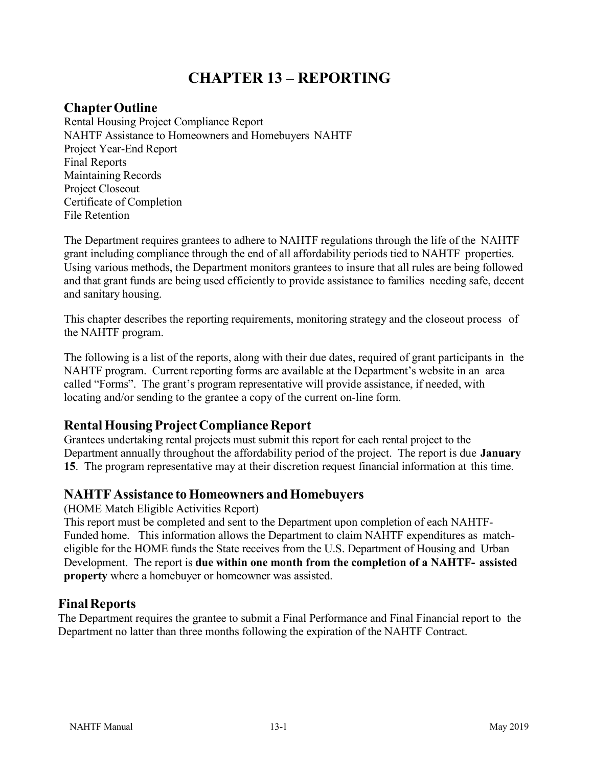# **CHAPTER 13 – REPORTING**

# **ChapterOutline**

Rental Housing Project Compliance Report NAHTF Assistance to Homeowners and Homebuyers NAHTF Project Year-End Report Final Reports Maintaining Records Project Closeout Certificate of Completion File Retention

The Department requires grantees to adhere to NAHTF regulations through the life of the NAHTF grant including compliance through the end of all affordability periods tied to NAHTF properties. Using various methods, the Department monitors grantees to insure that all rules are being followed and that grant funds are being used efficiently to provide assistance to families needing safe, decent and sanitary housing.

This chapter describes the reporting requirements, monitoring strategy and the closeout process of the NAHTF program.

The following is a list of the reports, along with their due dates, required of grant participants in the NAHTF program. Current reporting forms are available at the Department's website in an area called "Forms". The grant's program representative will provide assistance, if needed, with locating and/or sending to the grantee a copy of the current on-line form.

## **RentalHousing Project Compliance Report**

Grantees undertaking rental projects must submit this report for each rental project to the Department annually throughout the affordability period of the project. The report is due **January 15**. The program representative may at their discretion request financial information at this time.

## **NAHTF** Assistance to Homeowners and Homebuyers

(HOME Match Eligible Activities Report)

This report must be completed and sent to the Department upon completion of each NAHTF-Funded home. This information allows the Department to claim NAHTF expenditures as matcheligible for the HOME funds the State receives from the U.S. Department of Housing and Urban Development. The report is **due within one month from the completion of a NAHTF- assisted property** where a homebuyer or homeowner was assisted.

## **FinalReports**

The Department requires the grantee to submit a Final Performance and Final Financial report to the Department no latter than three months following the expiration of the NAHTF Contract.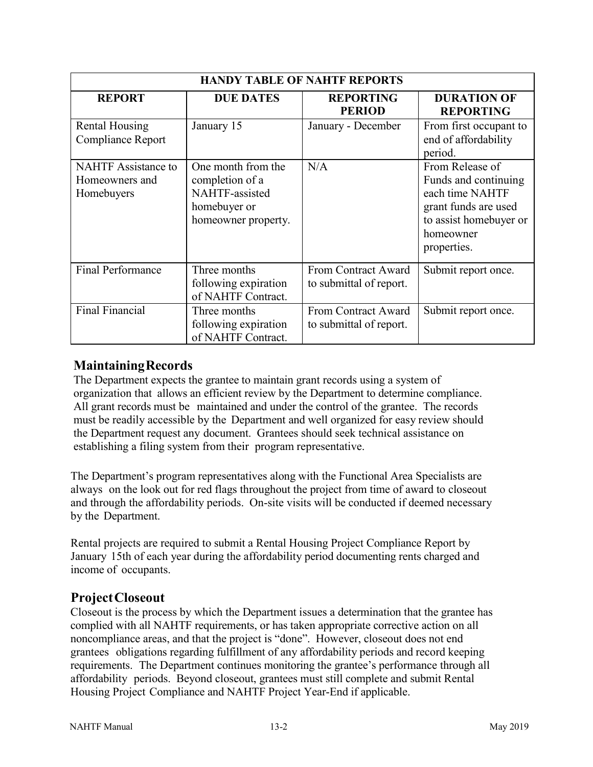| <b>HANDY TABLE OF NAHTF REPORTS</b>                        |                                                                                                       |                                                |                                                                                                                                          |
|------------------------------------------------------------|-------------------------------------------------------------------------------------------------------|------------------------------------------------|------------------------------------------------------------------------------------------------------------------------------------------|
| <b>REPORT</b>                                              | <b>DUE DATES</b>                                                                                      | <b>REPORTING</b><br><b>PERIOD</b>              | <b>DURATION OF</b><br><b>REPORTING</b>                                                                                                   |
| <b>Rental Housing</b><br>Compliance Report                 | January 15                                                                                            | January - December                             | From first occupant to<br>end of affordability<br>period.                                                                                |
| <b>NAHTF</b> Assistance to<br>Homeowners and<br>Homebuyers | One month from the<br>completion of a<br><b>NAHTF-assisted</b><br>homebuyer or<br>homeowner property. | N/A                                            | From Release of<br>Funds and continuing<br>each time NAHTF<br>grant funds are used<br>to assist homebuyer or<br>homeowner<br>properties. |
| <b>Final Performance</b>                                   | Three months<br>following expiration<br>of NAHTF Contract.                                            | From Contract Award<br>to submittal of report. | Submit report once.                                                                                                                      |
| <b>Final Financial</b>                                     | Three months<br>following expiration<br>of NAHTF Contract.                                            | From Contract Award<br>to submittal of report. | Submit report once.                                                                                                                      |

#### **MaintainingRecords**

The Department expects the grantee to maintain grant records using a system of organization that allows an efficient review by the Department to determine compliance. All grant records must be maintained and under the control of the grantee. The records must be readily accessible by the Department and well organized for easy review should the Department request any document. Grantees should seek technical assistance on establishing a filing system from their program representative.

The Department's program representatives along with the Functional Area Specialists are always on the look out for red flags throughout the project from time of award to closeout and through the affordability periods. On-site visits will be conducted if deemed necessary by the Department.

Rental projects are required to submit a Rental Housing Project Compliance Report by January 15th of each year during the affordability period documenting rents charged and income of occupants.

## **ProjectCloseout**

Closeout is the process by which the Department issues a determination that the grantee has complied with all NAHTF requirements, or has taken appropriate corrective action on all noncompliance areas, and that the project is "done". However, closeout does not end grantees obligations regarding fulfillment of any affordability periods and record keeping requirements. The Department continues monitoring the grantee's performance through all affordability periods. Beyond closeout, grantees must still complete and submit Rental Housing Project Compliance and NAHTF Project Year-End if applicable.